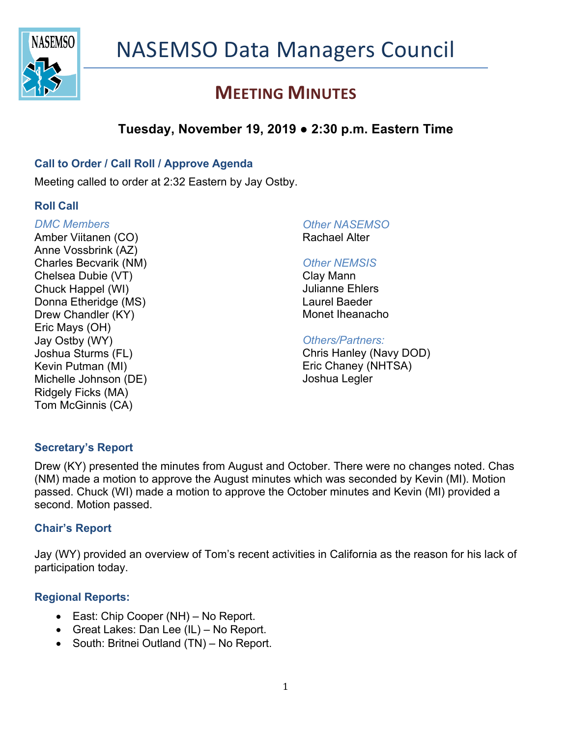

## **MEETING MINUTES**

### **Tuesday, November 19, 2019 ● 2:30 p.m. Eastern Time**

### **Call to Order / Call Roll / Approve Agenda**

Meeting called to order at 2:32 Eastern by Jay Ostby.

### **Roll Call**

#### *DMC Members*

Amber Viitanen (CO) Anne Vossbrink (AZ) Charles Becvarik (NM) Chelsea Dubie (VT) Chuck Happel (WI) Donna Etheridge (MS) Drew Chandler (KY) Eric Mays (OH) Jay Ostby (WY) Joshua Sturms (FL) Kevin Putman (MI) Michelle Johnson (DE) Ridgely Ficks (MA) Tom McGinnis (CA)

## *Other NASEMSO*

Rachael Alter

#### *Other NEMSIS*

Clay Mann Julianne Ehlers Laurel Baeder Monet Iheanacho

#### *Others/Partners:*

Chris Hanley (Navy DOD) Eric Chaney (NHTSA) Joshua Legler

### **Secretary's Report**

Drew (KY) presented the minutes from August and October. There were no changes noted. Chas (NM) made a motion to approve the August minutes which was seconded by Kevin (MI). Motion passed. Chuck (WI) made a motion to approve the October minutes and Kevin (MI) provided a second. Motion passed.

### **Chair's Report**

Jay (WY) provided an overview of Tom's recent activities in California as the reason for his lack of participation today.

### **Regional Reports:**

- East: Chip Cooper (NH) No Report.
- Great Lakes: Dan Lee (IL) No Report.
- South: Britnei Outland (TN) No Report.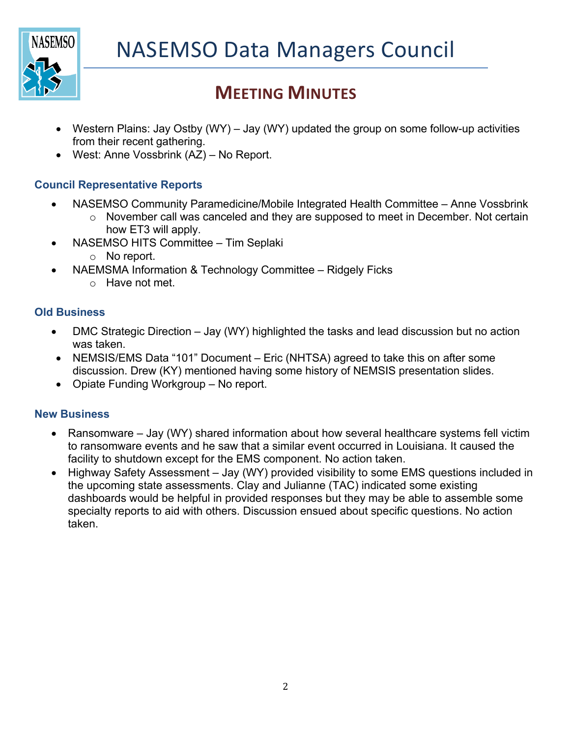

# **MEETING MINUTES**

- Western Plains: Jay Ostby (WY) Jay (WY) updated the group on some follow-up activities from their recent gathering.
- West: Anne Vossbrink (AZ) No Report.

### **Council Representative Reports**

- NASEMSO Community Paramedicine/Mobile Integrated Health Committee Anne Vossbrink
	- o November call was canceled and they are supposed to meet in December. Not certain how ET3 will apply.
- NASEMSO HITS Committee Tim Seplaki
	- o No report.
- NAEMSMA Information & Technology Committee Ridgely Ficks
	- o Have not met.

### **Old Business**

- DMC Strategic Direction Jay (WY) highlighted the tasks and lead discussion but no action was taken.
- NEMSIS/EMS Data "101" Document Eric (NHTSA) agreed to take this on after some discussion. Drew (KY) mentioned having some history of NEMSIS presentation slides.
- Opiate Funding Workgroup No report.

### **New Business**

- Ransomware Jay (WY) shared information about how several healthcare systems fell victim to ransomware events and he saw that a similar event occurred in Louisiana. It caused the facility to shutdown except for the EMS component. No action taken.
- Highway Safety Assessment Jay (WY) provided visibility to some EMS questions included in the upcoming state assessments. Clay and Julianne (TAC) indicated some existing dashboards would be helpful in provided responses but they may be able to assemble some specialty reports to aid with others. Discussion ensued about specific questions. No action taken.